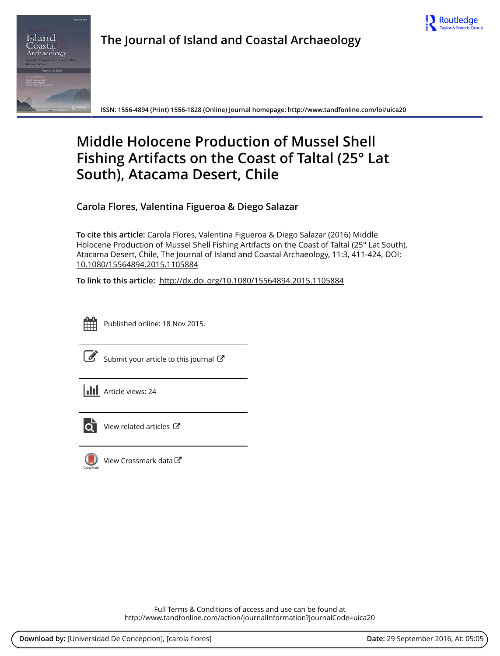



**The Journal of Island and Coastal Archaeology**

**ISSN: 1556-4894 (Print) 1556-1828 (Online) Journal homepage:<http://www.tandfonline.com/loi/uica20>**

# **Middle Holocene Production of Mussel Shell Fishing Artifacts on the Coast of Taltal (25° Lat South), Atacama Desert, Chile**

**Carola Flores, Valentina Figueroa & Diego Salazar**

**To cite this article:** Carola Flores, Valentina Figueroa & Diego Salazar (2016) Middle Holocene Production of Mussel Shell Fishing Artifacts on the Coast of Taltal (25° Lat South), Atacama Desert, Chile, The Journal of Island and Coastal Archaeology, 11:3, 411-424, DOI: [10.1080/15564894.2015.1105884](http://www.tandfonline.com/action/showCitFormats?doi=10.1080/15564894.2015.1105884)

**To link to this article:** <http://dx.doi.org/10.1080/15564894.2015.1105884>



Published online: 18 Nov 2015.

|--|

[Submit your article to this journal](http://www.tandfonline.com/action/authorSubmission?journalCode=uica20&show=instructions)  $\mathbb{Z}$ 

**III** Article views: 24



 $\overline{\mathbf{C}}$  [View related articles](http://www.tandfonline.com/doi/mlt/10.1080/15564894.2015.1105884)  $\mathbf{C}$ 



[View Crossmark data](http://crossmark.crossref.org/dialog/?doi=10.1080/15564894.2015.1105884&domain=pdf&date_stamp=2015-11-18)

Full Terms & Conditions of access and use can be found at <http://www.tandfonline.com/action/journalInformation?journalCode=uica20>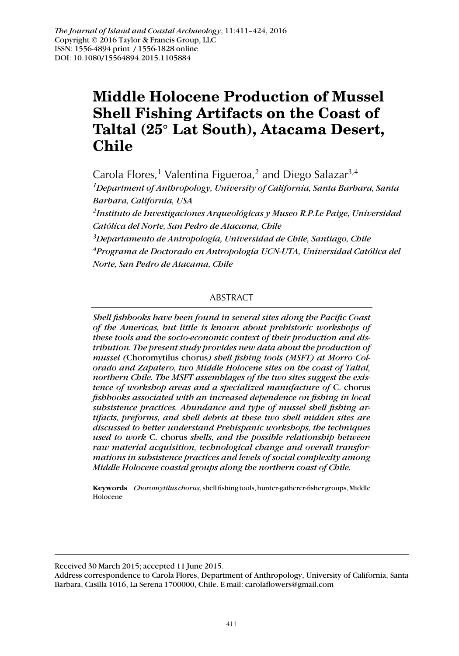# **Middle Holocene Production of Mussel Shell Fishing Artifacts on the Coast of Taltal (25◦ Lat South), Atacama Desert, Chile**

Carola Flores,<sup>1</sup> Valentina Figueroa,<sup>2</sup> and Diego Salazar<sup>3,4</sup> *1Department of Anthropology, University of California, Santa Barbara, Santa Barbara, California, USA 2Instituto de Investigaciones Arqueologicas y Museo R.P.Le Paige, Universidad ´ Catolica del Norte, San Pedro de Atacama, Chile ´ 3Departamento de Antropolog´ıa, Universidad de Chile, Santiago, Chile 4Programa de Doctorado en Antropolog´ıa UCN-UTA, Universidad Catolica del ´ Norte, San Pedro de Atacama, Chile*

## ABSTRACT

*Shell fishhooks have been found in several sites along the Pacific Coast of the Americas, but little is known about prehistoric workshops of these tools and the socio-economic context of their production and distribution. The present study provides new data about the production of mussel (*Choromytilus chorus*) shell fishing tools (MSFT) at Morro Colorado and Zapatero, two Middle Holocene sites on the coast of Taltal, northern Chile. The MSFT assemblages of the two sites suggest the existence of workshop areas and a specialized manufacture of* C. chorus *fishhooks associated with an increased dependence on fishing in local subsistence practices. Abundance and type of mussel shell fishing artifacts, preforms, and shell debris at these two shell midden sites are discussed to better understand Prehispanic workshops, the techniques used to work* C. chorus *shells, and the possible relationship between raw material acquisition, technological change and overall transformations in subsistence practices and levels of social complexity among Middle Holocene coastal groups along the northern coast of Chile.*

**Keywords** *Choromytilus chorus*, shell fishing tools, hunter-gatherer-fisher groups, Middle Holocene

Received 30 March 2015; accepted 11 June 2015.

Address correspondence to Carola Flores, Department of Anthropology, University of California, Santa Barbara, Casilla 1016, La Serena 1700000, Chile. E-mail: carolaflowers@gmail.com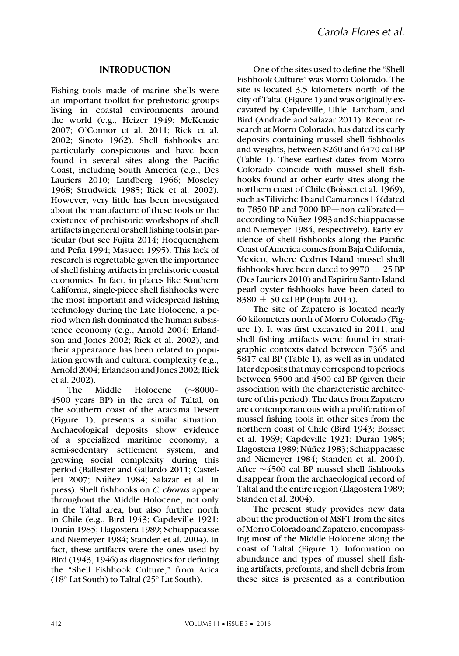#### **INTRODUCTION**

Fishing tools made of marine shells were an important toolkit for prehistoric groups living in coastal environments around the world (e.g., Heizer 1949; McKenzie 2007; O'Connor et al. 2011; Rick et al. 2002; Sinoto 1962). Shell fishhooks are particularly conspicuous and have been found in several sites along the Pacific Coast, including South America (e.g., Des Lauriers 2010; Landberg 1966; Moseley 1968; Strudwick 1985; Rick et al. 2002). However, very little has been investigated about the manufacture of these tools or the existence of prehistoric workshops of shell artifactsin general or shell fishing toolsin particular (but see Fujita 2014; Hocquenghem and Peña 1994; Masucci 1995). This lack of research is regrettable given the importance of shell fishing artifacts in prehistoric coastal economies. In fact, in places like Southern California, single-piece shell fishhooks were the most important and widespread fishing technology during the Late Holocene, a period when fish dominated the human subsistence economy (e.g., Arnold 2004; Erlandson and Jones 2002; Rick et al. 2002), and their appearance has been related to population growth and cultural complexity (e.g., Arnold 2004; Erlandson and Jones 2002; Rick et al. 2002).

The Middle Holocene (∼8000– 4500 years BP) in the area of Taltal, on the southern coast of the Atacama Desert (Figure 1), presents a similar situation. Archaeological deposits show evidence of a specialized maritime economy, a semi-sedentary settlement system, and growing social complexity during this period (Ballester and Gallardo 2011; Castelleti 2007; Núñez 1984; Salazar et al. in press). Shell fishhooks on *C. chorus* appear throughout the Middle Holocene, not only in the Taltal area, but also further north in Chile (e.g., Bird 1943; Capdeville 1921; Dur´an 1985; Llagostera 1989; Schiappacasse and Niemeyer 1984; Standen et al. 2004). In fact, these artifacts were the ones used by Bird (1943, 1946) as diagnostics for defining the "Shell Fishhook Culture," from Arica (18 $\degree$  Lat South) to Taltal (25 $\degree$  Lat South).

One of the sites used to define the "Shell Fishhook Culture" was Morro Colorado. The site is located 3.5 kilometers north of the city of Taltal (Figure 1) and was originally excavated by Capdeville, Uhle, Latcham, and Bird (Andrade and Salazar 2011). Recent research at Morro Colorado, has dated its early deposits containing mussel shell fishhooks and weights, between 8260 and 6470 cal BP (Table 1). These earliest dates from Morro Colorado coincide with mussel shell fishhooks found at other early sites along the northern coast of Chile (Boisset et al. 1969), such as Tiliviche 1b andCamarones 14 (dated to 7850 BP and 7000 BP—non calibrated according to Núñez 1983 and Schiappacasse and Niemeyer 1984, respectively). Early evidence of shell fishhooks along the Pacific Coast of America comes from Baja California, Mexico, where Cedros Island mussel shell fishhooks have been dated to 9970  $\pm$  25 BP (Des Lauriers 2010) and Espiritu Santo Island pearl oyster fishhooks have been dated to  $8380 \pm 50$  cal BP (Fujita 2014).

The site of Zapatero is located nearly 60 kilometers north of Morro Colorado (Figure 1). It was first excavated in 2011, and shell fishing artifacts were found in stratigraphic contexts dated between 7365 and 5817 cal BP (Table 1), as well as in undated later deposits that may correspond to periods between 5500 and 4500 cal BP (given their association with the characteristic architecture of this period). The dates from Zapatero are contemporaneous with a proliferation of mussel fishing tools in other sites from the northern coast of Chile (Bird 1943; Boisset et al. 1969; Capdeville 1921; Durán 1985; Llagostera 1989; Núñez 1983; Schiappacasse and Niemeyer 1984; Standen et al. 2004). After ∼4500 cal BP mussel shell fishhooks disappear from the archaeological record of Taltal and the entire region (Llagostera 1989; Standen et al. 2004).

The present study provides new data about the production of MSFT from the sites ofMorroColorado andZapatero,encompassing most of the Middle Holocene along the coast of Taltal (Figure 1). Information on abundance and types of mussel shell fishing artifacts, preforms, and shell debris from these sites is presented as a contribution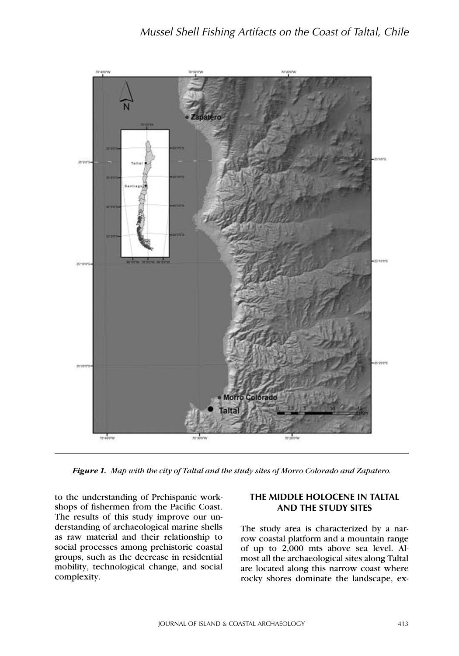

*Figure 1. Map with the city of Taltal and the study sites of Morro Colorado and Zapatero.*

to the understanding of Prehispanic workshops of fishermen from the Pacific Coast. The results of this study improve our understanding of archaeological marine shells as raw material and their relationship to social processes among prehistoric coastal groups, such as the decrease in residential mobility, technological change, and social complexity.

## **THE MIDDLE HOLOCENE IN TALTAL AND THE STUDY SITES**

The study area is characterized by a narrow coastal platform and a mountain range of up to 2,000 mts above sea level. Almost all the archaeological sites along Taltal are located along this narrow coast where rocky shores dominate the landscape, ex-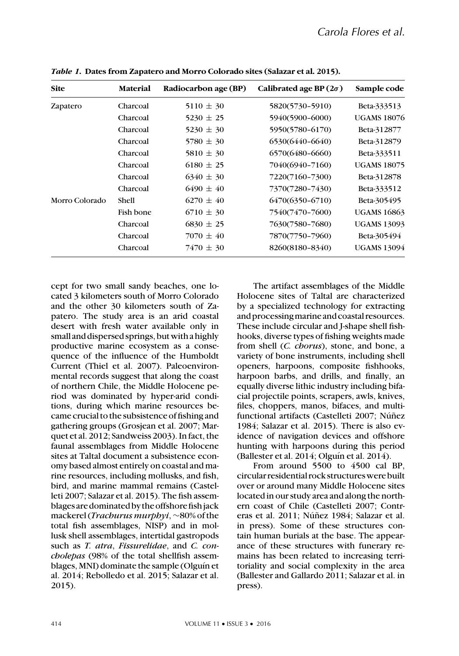| <b>Site</b>    | <b>Material</b> | Radiocarbon age (BP) | Calibrated age BP $(2\sigma)$ | Sample code        |
|----------------|-----------------|----------------------|-------------------------------|--------------------|
| Zapatero       | Charcoal        | $5110 \pm 30$        | 5820(5730-5910)               | Beta-333513        |
|                | Charcoal        | $5230 \pm 25$        | 5940(5900-6000)               | <b>UGAMS 18076</b> |
|                | Charcoal        | $5230 \pm 30$        | 5950(5780-6170)               | Beta-312877        |
|                | Charcoal        | 5780 $\pm$ 30        | 6530(6440-6640)               | Beta-312879        |
|                | Charcoal        | $5810 \pm 30$        | 6570(6480-6660)               | Beta-333511        |
|                | Charcoal        | $6180 \pm 25$        | 7040(6940-7160)               | <b>UGAMS 18075</b> |
|                | Charcoal        | $6340 \pm 30$        | 7220(7160-7300)               | Beta-312878        |
|                | Charcoal        | $6490 \pm 40$        | 7370(7280-7430)               | Beta-333512        |
| Morro Colorado | Shell           | $6270 \pm 40$        | 6470(6350-6710)               | Beta-305495        |
|                | Fish bone       | $6710 \pm 30$        | 7540(7470-7600)               | <b>UGAMS 16863</b> |
|                | Charcoal        | $6830 \pm 25$        | 7630(7580-7680)               | <b>UGAMS 13093</b> |
|                | Charcoal        | $7070 \pm 40$        | 7870(7750-7960)               | Beta-305494        |
|                | Charcoal        | $7470 \pm 30$        | 8260(8180-8340)               | <b>UGAMS 13094</b> |

*Table 1***. Dates from Zapatero and Morro Colorado sites (Salazar et al. 2015).**

cept for two small sandy beaches, one located 3 kilometers south of Morro Colorado and the other 30 kilometers south of Zapatero. The study area is an arid coastal desert with fresh water available only in small and dispersed springs, but with a highly productive marine ecosystem as a consequence of the influence of the Humboldt Current (Thiel et al. 2007). Paleoenvironmental records suggest that along the coast of northern Chile, the Middle Holocene period was dominated by hyper-arid conditions, during which marine resources became crucial to the subsistence of fishing and gathering groups (Grosjean et al. 2007; Marquet et al. 2012; Sandweiss 2003). In fact, the faunal assemblages from Middle Holocene sites at Taltal document a subsistence economy based almost entirely on coastal and marine resources, including mollusks, and fish, bird, and marine mammal remains (Castelleti 2007; Salazar et al. 2015). The fish assemblages are dominated by the offshore fishjack mackerel (*Trachurus murphyi*, ∼80% of the total fish assemblages, NISP) and in mollusk shell assemblages, intertidal gastropods such as *T. atra*, *Fissurelidae*, and *C. concholepas* (98% of the total shellfish assemblages, MNI) dominate the sample (Olguín et al. 2014; Rebolledo et al. 2015; Salazar et al. 2015).

The artifact assemblages of the Middle Holocene sites of Taltal are characterized by a specialized technology for extracting and processing marine and coastal resources. These include circular and J-shape shell fishhooks, diverse types of fishing weights made from shell (*C. chorus*), stone, and bone, a variety of bone instruments, including shell openers, harpoons, composite fishhooks, harpoon barbs, and drills, and finally, an equally diverse lithic industry including bifacial projectile points, scrapers, awls, knives, files, choppers, manos, bifaces, and multifunctional artifacts (Castelleti 2007; Núñez 1984; Salazar et al. 2015). There is also evidence of navigation devices and offshore hunting with harpoons during this period (Ballester et al.  $2014$ ; Olguín et al.  $2014$ ).

From around 5500 to 4500 cal BP, circular residential rock structureswere built over or around many Middle Holocene sites located in our study area and along the northern coast of Chile (Castelleti 2007; Contreras et al. 2011; Núñez 1984; Salazar et al. in press). Some of these structures contain human burials at the base. The appearance of these structures with funerary remains has been related to increasing territoriality and social complexity in the area (Ballester and Gallardo 2011; Salazar et al. in press).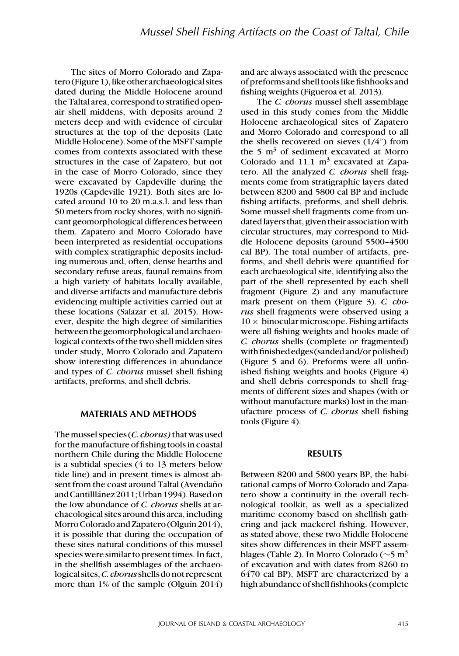The sites of Morro Colorado and Zapatero (Figure 1), like other archaeological sites dated during the Middle Holocene around the Taltal area, correspond to stratified openair shell middens, with deposits around 2 meters deep and with evidence of circular structures at the top of the deposits (Late Middle Holocene). Some of the MSFT sample comes from contexts associated with these structures in the case of Zapatero, but not in the case of Morro Colorado, since they were excavated by Capdeville during the 1920s (Capdeville 1921). Both sites are located around 10 to 20 m.a.s.l. and less than 50 meters from rocky shores, with no significant geomorphological differences between them. Zapatero and Morro Colorado have been interpreted as residential occupations with complex stratigraphic deposits including numerous and, often, dense hearths and secondary refuse areas, faunal remains from a high variety of habitats locally available, and diverse artifacts and manufacture debris evidencing multiple activities carried out at these locations (Salazar et al. 2015). However, despite the high degree of similarities between the geomorphological and archaeological contexts of the two shell midden sites under study, Morro Colorado and Zapatero show interesting differences in abundance and types of *C. chorus* mussel shell fishing artifacts, preforms, and shell debris.

#### **MATERIALS AND METHODS**

The mussel species (*C. chorus)* that was used for the manufacture of fishing tools in coastal northern Chile during the Middle Holocene is a subtidal species (4 to 13 meters below tide line) and in present times is almost absent from the coast around Taltal (Avendaño andCantilll´anez 2011;Urban 1994).Based on the low abundance of *C. chorus* shells at archaeological sites around this area, including Morro Colorado and Zapatero (Olguín 2014), it is possible that during the occupation of these sites natural conditions of this mussel species were similar to present times. In fact, in the shellfish assemblages of the archaeological sites,*C. chorus*shells do not represent more than  $1\%$  of the sample (Olguín 2014) and are always associated with the presence of preforms and shell tools like fishhooks and fishing weights (Figueroa et al. 2013).

The *C. chorus* mussel shell assemblage used in this study comes from the Middle Holocene archaeological sites of Zapatero and Morro Colorado and correspond to all the shells recovered on sieves (1/4") from the 5  $m<sup>3</sup>$  of sediment excavated at Morro Colorado and 11.1  $m^3$  excavated at Zapatero. All the analyzed *C. chorus* shell fragments come from stratigraphic layers dated between 8200 and 5800 cal BP and include fishing artifacts, preforms, and shell debris. Some mussel shell fragments come from undated layers that, given their association with circular structures, may correspond to Middle Holocene deposits (around 5500–4500 cal BP). The total number of artifacts, preforms, and shell debris were quantified for each archaeological site, identifying also the part of the shell represented by each shell fragment (Figure 2) and any manufacture mark present on them (Figure 3). *C. chorus* shell fragments were observed using a  $10 \times$  binocular microscope. Fishing artifacts were all fishing weights and hooks made of *C. chorus* shells (complete or fragmented) with finishededges (sanded and/orpolished) (Figure 5 and 6). Preforms were all unfinished fishing weights and hooks (Figure 4) and shell debris corresponds to shell fragments of different sizes and shapes (with or without manufacture marks) lost in the manufacture process of *C. chorus* shell fishing tools (Figure  $4$ ).

#### **RESULTS**

Between 8200 and 5800 years BP, the habitational camps of Morro Colorado and Zapatero show a continuity in the overall technological toolkit, as well as a specialized maritime economy based on shellfish gathering and jack mackerel fishing. However, as stated above, these two Middle Holocene sites show differences in their MSFT assemblages (Table 2). In Morro Colorado ( $\sim$ 5 m<sup>3</sup> of excavation and with dates from 8260 to 6470 cal BP), MSFT are characterized by a high abundance of shell fishhooks (complete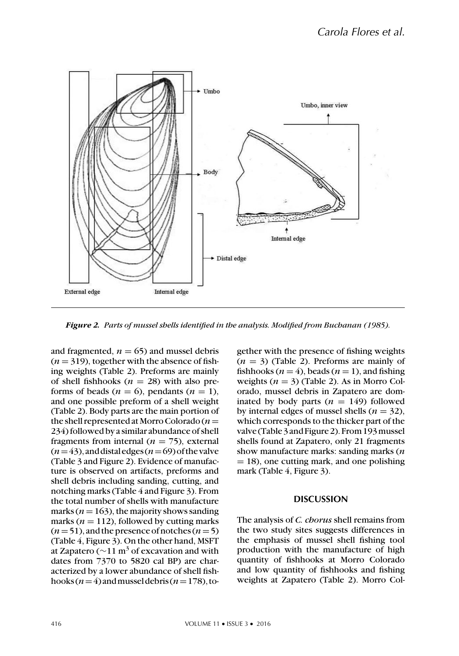

*Figure 2. Parts of mussel shells identified in the analysis. Modified from Buchanan (1985).*

and fragmented,  $n = 65$ ) and mussel debris  $(n = 319)$ , together with the absence of fishing weights (Table 2). Preforms are mainly of shell fishhooks  $(n = 28)$  with also preforms of beads ( $n = 6$ ), pendants ( $n = 1$ ), and one possible preform of a shell weight (Table 2). Body parts are the main portion of the shell represented at Morro Colorado (*n*= 234) followed by a similar abundance of shell fragments from internal  $(n = 75)$ , external  $(n=43)$ , and distal edges  $(n=69)$  of the valve (Table 3 and Figure 2). Evidence of manufacture is observed on artifacts, preforms and shell debris including sanding, cutting, and notching marks (Table 4 and Figure 3). From the total number of shells with manufacture marks ( $n = 163$ ), the majority shows sanding marks ( $n = 112$ ), followed by cutting marks  $(n=51)$ , and the presence of notches  $(n=5)$ (Table 4, Figure 3). On the other hand, MSFT at Zapatero ( $\sim$ 11 m<sup>3</sup> of excavation and with dates from 7370 to 5820 cal BP) are characterized by a lower abundance of shell fishhooks  $(n=4)$  and mussel debris  $(n=178)$ , together with the presence of fishing weights  $(n = 3)$  (Table 2). Preforms are mainly of fishhooks ( $n = 4$ ), beads ( $n = 1$ ), and fishing weights  $(n = 3)$  (Table 2). As in Morro Colorado, mussel debris in Zapatero are dominated by body parts  $(n = 149)$  followed by internal edges of mussel shells  $(n = 32)$ , which corresponds to the thicker part of the valve (Table 3 and Figure 2). From 193mussel shells found at Zapatero, only 21 fragments show manufacture marks: sanding marks (*n*  $= 18$ ), one cutting mark, and one polishing mark (Table 4, Figure 3).

#### **DISCUSSION**

The analysis of *C. chorus* shell remains from the two study sites suggests differences in the emphasis of mussel shell fishing tool production with the manufacture of high quantity of fishhooks at Morro Colorado and low quantity of fishhooks and fishing weights at Zapatero (Table 2). Morro Col-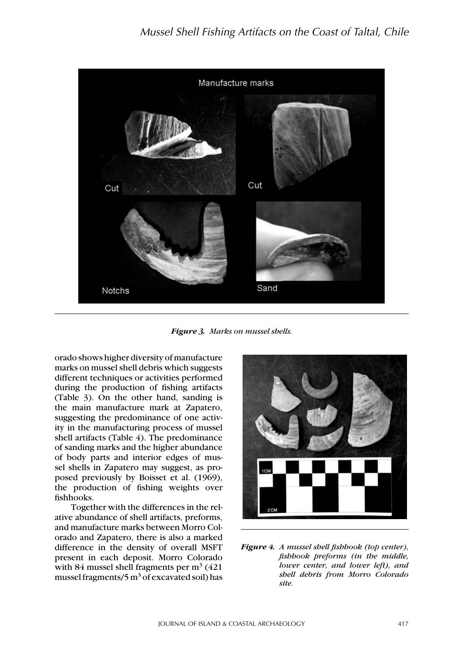

*Figure 3. Marks on mussel shells.*

orado shows higher diversity of manufacture marks on mussel shell debris which suggests different techniques or activities performed during the production of fishing artifacts (Table 3). On the other hand, sanding is the main manufacture mark at Zapatero, suggesting the predominance of one activity in the manufacturing process of mussel shell artifacts (Table 4). The predominance of sanding marks and the higher abundance of body parts and interior edges of mussel shells in Zapatero may suggest, as proposed previously by Boisset et al. (1969), the production of fishing weights over fishhooks.

Together with the differences in the relative abundance of shell artifacts, preforms, and manufacture marks between Morro Colorado and Zapatero, there is also a marked difference in the density of overall MSFT present in each deposit. Morro Colorado with 84 mussel shell fragments per  $m<sup>3</sup>$  (421) mussel fragments/5  $\text{m}^3$  of excavated soil) has



*Figure 4. A mussel shell fishhook (top center), fishhook preforms (in the middle, lower center, and lower left), and shell debris from Morro Colorado site.*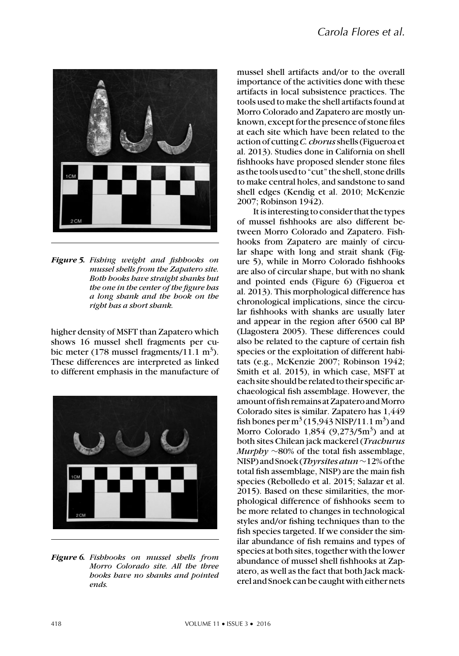

*Figure 5. Fishing weight and fishhooks on mussel shells from the Zapatero site. Both hooks have straight shanks but the one in the center of the figure has a long shank and the hook on the right has a short shank.*

higher density of MSFT than Zapatero which shows 16 mussel shell fragments per cubic meter (178 mussel fragments/11.1 m<sup>3</sup>). These differences are interpreted as linked to different emphasis in the manufacture of



*Figure 6. Fishhooks on mussel shells from Morro Colorado site. All the three hooks have no shanks and pointed ends.*

mussel shell artifacts and/or to the overall importance of the activities done with these artifacts in local subsistence practices. The tools used to make the shell artifacts found at Morro Colorado and Zapatero are mostly unknown, except for the presence of stone files at each site which have been related to the action of cutting*C. chorus*shells (Figueroa et al. 2013). Studies done in California on shell fishhooks have proposed slender stone files as the tools used to "cut" the shell, stone drills to make central holes, and sandstone to sand shell edges (Kendig et al. 2010; McKenzie 2007; Robinson 1942).

It is interesting to consider that the types of mussel fishhooks are also different between Morro Colorado and Zapatero. Fishhooks from Zapatero are mainly of circular shape with long and strait shank (Figure 5), while in Morro Colorado fishhooks are also of circular shape, but with no shank and pointed ends (Figure 6) (Figueroa et al. 2013). This morphological difference has chronological implications, since the circular fishhooks with shanks are usually later and appear in the region after 6500 cal BP (Llagostera 2005). These differences could also be related to the capture of certain fish species or the exploitation of different habitats (e.g., McKenzie 2007; Robinson 1942; Smith et al. 2015), in which case, MSFT at each site should be related to their specific archaeological fish assemblage. However, the amount of fish remains at Zapatero and Morro Colorado sites is similar. Zapatero has 1,449 fish bones per  $m^3$  (15,943 NISP/11.1  $m^3$ ) and Morro Colorado  $1,854$  (9,273/5m<sup>3</sup>) and at both sites Chilean jack mackerel (*Trachurus Murphy* ∼80% of the total fish assemblage, NISP) and Snoek (*Thyrsites atun*∼12% of the total fish assemblage, NISP) are the main fish species (Rebolledo et al. 2015; Salazar et al. 2015). Based on these similarities, the morphological difference of fishhooks seem to be more related to changes in technological styles and/or fishing techniques than to the fish species targeted. If we consider the similar abundance of fish remains and types of species at both sites, together with the lower abundance of mussel shell fishhooks at Zapatero, as well as the fact that both Jack mackerel and Snoek can be caught with either nets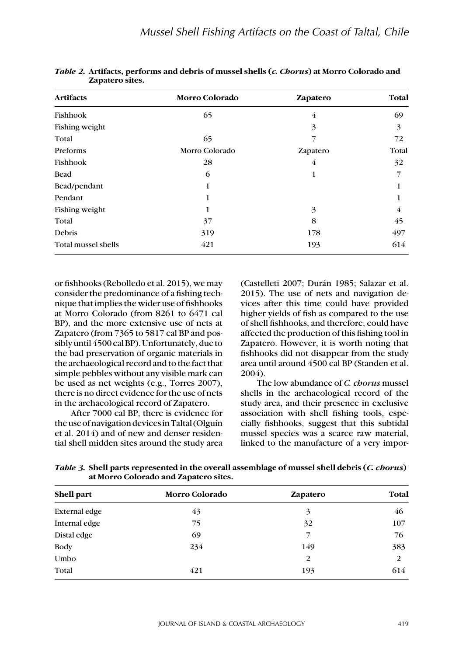| <b>Artifacts</b>    | <b>Morro Colorado</b> | Zapatero       | Total |
|---------------------|-----------------------|----------------|-------|
| Fishhook            | 65                    | $\overline{4}$ | 69    |
| Fishing weight      |                       | 3              | 3     |
| Total               | 65                    | 7              | 72    |
| Preforms            | Morro Colorado        | Zapatero       | Total |
| Fishhook            | 28                    | 4              | 32    |
| Bead                | 6                     | 1              |       |
| Bead/pendant        | 1                     |                |       |
| Pendant             | 1                     |                |       |
| Fishing weight      | 1                     | 3              | 4     |
| Total               | 37                    | 8              | 45    |
| Debris              | 319                   | 178            | 497   |
| Total mussel shells | 421                   | 193            | 614   |

*Table 2***. Artifacts, performs and debris of mussel shells (***c. Chorus***) at Morro Colorado and Zapatero sites.**

or fishhooks (Rebolledo et al. 2015), we may consider the predominance of a fishing technique that implies the wider use of fishhooks at Morro Colorado (from 8261 to 6471 cal BP), and the more extensive use of nets at Zapatero (from 7365 to 5817 cal BP and possibly until 4500 cal BP).Unfortunately, due to the bad preservation of organic materials in the archaeological record and to the fact that simple pebbles without any visible mark can be used as net weights (e.g., Torres 2007), there is no direct evidence for the use of nets in the archaeological record of Zapatero.

After 7000 cal BP, there is evidence for the use of navigation devices in Taltal (Olguín et al. 2014) and of new and denser residential shell midden sites around the study area (Castelleti 2007; Durán 1985; Salazar et al. 2015). The use of nets and navigation devices after this time could have provided higher yields of fish as compared to the use of shell fishhooks, and therefore, could have affected the production of this fishing tool in Zapatero. However, it is worth noting that fishhooks did not disappear from the study area until around 4500 cal BP (Standen et al. 2004).

The low abundance of *C. chorus* mussel shells in the archaeological record of the study area, and their presence in exclusive association with shell fishing tools, especially fishhooks, suggest that this subtidal mussel species was a scarce raw material, linked to the manufacture of a very impor-

| Shell part    | <b>Morro Colorado</b> | Zapatero | Total          |
|---------------|-----------------------|----------|----------------|
| External edge | 43                    | 3        | 46             |
| Internal edge | 75                    | 32       | 107            |
| Distal edge   | 69                    |          | 76             |
| <b>Body</b>   | 234                   | 149      | 383            |
| Umbo          |                       | 2        | $\overline{2}$ |
| Total         | 421                   | 193      | 614            |

*Table 3***. Shell parts represented in the overall assemblage of mussel shell debris (***C. chorus***) at Morro Colorado and Zapatero sites.**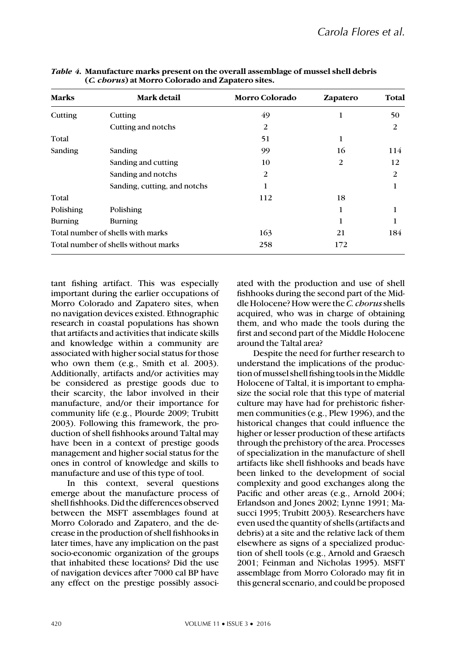| <b>Marks</b>   | Mark detail                          | Morro Colorado | Zapatero | Total |
|----------------|--------------------------------------|----------------|----------|-------|
| Cutting        | Cutting                              | 49             | 1        | 50    |
|                | Cutting and notchs                   | 2              |          | 2     |
| Total          |                                      | 51             | 1        |       |
| Sanding        | Sanding                              | 99             | 16       | 114   |
|                | Sanding and cutting                  | 10             | 2        | 12    |
|                | Sanding and notchs                   | 2              |          | 2     |
|                | Sanding, cutting, and notchs         | 1              |          | J.    |
| Total          |                                      | 112            | 18       |       |
| Polishing      | Polishing                            |                | 1        |       |
| <b>Burning</b> | <b>Burning</b>                       |                | 1        |       |
|                | Total number of shells with marks    | 163            | 21       | 184   |
|                | Total number of shells without marks | 258            | 172      |       |

|  | Table 4. Manufacture marks present on the overall assemblage of mussel shell debris |  |
|--|-------------------------------------------------------------------------------------|--|
|  | ( <i>C. chorus</i> ) at Morro Colorado and Zapatero sites.                          |  |

tant fishing artifact. This was especially important during the earlier occupations of Morro Colorado and Zapatero sites, when no navigation devices existed. Ethnographic research in coastal populations has shown that artifacts and activities that indicate skills and knowledge within a community are associated with higher social status for those who own them (e.g., Smith et al. 2003). Additionally, artifacts and/or activities may be considered as prestige goods due to their scarcity, the labor involved in their manufacture, and/or their importance for community life (e.g., Plourde 2009; Trubitt 2003). Following this framework, the production of shell fishhooks around Taltal may have been in a context of prestige goods management and higher social status for the ones in control of knowledge and skills to manufacture and use of this type of tool.

In this context, several questions emerge about the manufacture process of shell fishhooks. Did the differences observed between the MSFT assemblages found at Morro Colorado and Zapatero, and the decrease in the production of shell fishhooks in later times, have any implication on the past socio-economic organization of the groups that inhabited these locations? Did the use of navigation devices after 7000 cal BP have any effect on the prestige possibly associated with the production and use of shell fishhooks during the second part of the Middle Holocene? How were the*C. chorus*shells acquired, who was in charge of obtaining them, and who made the tools during the first and second part of the Middle Holocene around the Taltal area?

Despite the need for further research to understand the implications of the production of mussel shell fishing tools in the Middle Holocene of Taltal, it is important to emphasize the social role that this type of material culture may have had for prehistoric fishermen communities (e.g., Plew 1996), and the historical changes that could influence the higher or lesser production of these artifacts through the prehistory of the area. Processes of specialization in the manufacture of shell artifacts like shell fishhooks and beads have been linked to the development of social complexity and good exchanges along the Pacific and other areas (e.g., Arnold 2004; Erlandson and Jones 2002; Lynne 1991; Masucci 1995; Trubitt 2003). Researchers have even used the quantity of shells (artifacts and debris) at a site and the relative lack of them elsewhere as signs of a specialized production of shell tools (e.g., Arnold and Graesch 2001; Feinman and Nicholas 1995). MSFT assemblage from Morro Colorado may fit in this general scenario, and could be proposed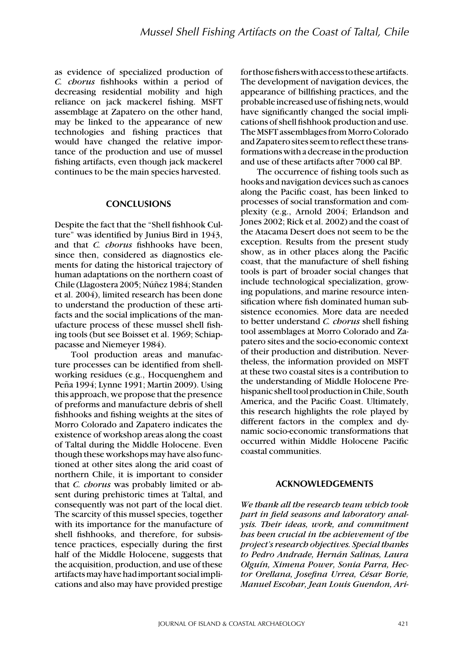as evidence of specialized production of *C. chorus* fishhooks within a period of decreasing residential mobility and high reliance on jack mackerel fishing. MSFT assemblage at Zapatero on the other hand, may be linked to the appearance of new technologies and fishing practices that would have changed the relative importance of the production and use of mussel fishing artifacts, even though jack mackerel continues to be the main species harvested.

#### **CONCLUSIONS**

Despite the fact that the "Shell fishhook Culture" was identified by Junius Bird in 1943, and that *C. chorus* fishhooks have been, since then, considered as diagnostics elements for dating the historical trajectory of human adaptations on the northern coast of Chile (Llagostera 2005; Núñez 1984; Standen et al. 2004), limited research has been done to understand the production of these artifacts and the social implications of the manufacture process of these mussel shell fishing tools (but see Boisset et al. 1969; Schiappacasse and Niemeyer 1984).

Tool production areas and manufacture processes can be identified from shellworking residues (e.g., Hocquenghem and Peña 1994; Lynne 1991; Martin 2009). Using this approach, we propose that the presence of preforms and manufacture debris of shell fishhooks and fishing weights at the sites of Morro Colorado and Zapatero indicates the existence of workshop areas along the coast of Taltal during the Middle Holocene. Even though these workshops may have also functioned at other sites along the arid coast of northern Chile, it is important to consider that *C. chorus* was probably limited or absent during prehistoric times at Taltal, and consequently was not part of the local diet. The scarcity of this mussel species, together with its importance for the manufacture of shell fishhooks, and therefore, for subsistence practices, especially during the first half of the Middle Holocene, suggests that the acquisition, production, and use of these artifactsmay have hadimportant socialimplications and also may have provided prestige for those fisherswithaccess to these artifacts. The development of navigation devices, the appearance of billfishing practices, and the probable increased use of fishing nets,would have significantly changed the social implications of shell fishhook production and use. The MSFT assemblages from Morro Colorado and Zapatero sites seem to reflect these transformations with a decrease in the production and use of these artifacts after 7000 cal BP.

The occurrence of fishing tools such as hooks and navigation devices such as canoes along the Pacific coast, has been linked to processes of social transformation and complexity (e.g., Arnold 2004; Erlandson and Jones 2002; Rick et al. 2002) and the coast of the Atacama Desert does not seem to be the exception. Results from the present study show, as in other places along the Pacific coast, that the manufacture of shell fishing tools is part of broader social changes that include technological specialization, growing populations, and marine resource intensification where fish dominated human subsistence economies. More data are needed to better understand *C. chorus* shell fishing tool assemblages at Morro Colorado and Zapatero sites and the socio-economic context of their production and distribution. Nevertheless, the information provided on MSFT at these two coastal sites is a contribution to the understanding of Middle Holocene Prehispanic shell tool production in Chile, South America, and the Pacific Coast. Ultimately, this research highlights the role played by different factors in the complex and dynamic socio-economic transformations that occurred within Middle Holocene Pacific coastal communities.

#### **ACKNOWLEDGEMENTS**

*We thank all the research team which took part in field seasons and laboratory analysis. Their ideas, work, and commitment has been crucial in the achievement of the project's research objectives. Special thanks to Pedro Andrade, Hernan Salinas, Laura ´ Olgu´ın, Ximena Power, Sonia Parra, Hector Orellana, Josefina Urrea, C´esar Borie, Manuel Escobar, Jean Louis Guendon, Ari-*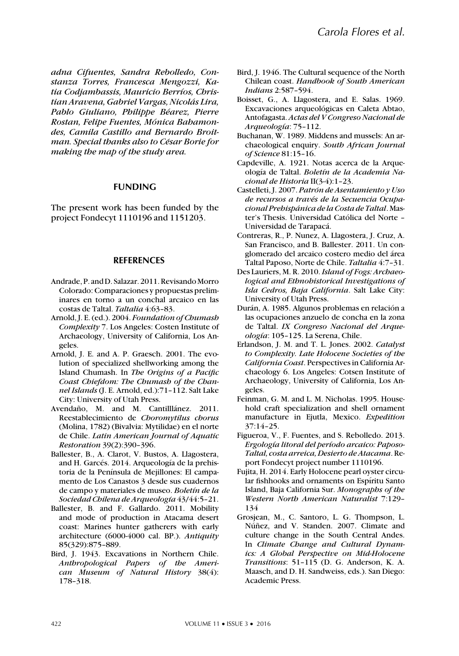*adna Cifuentes, Sandra Rebolledo, Constanza Torres, Francesca Mengozzi, Ka*tia Codjambassis, Mauricio Berríos, Chris*tian Aravena, Gabriel Vargas, Nicolas Lira, ´* Pablo Giuliano, Philippe Béarez, Pierre *Rostan, Felipe Fuentes, Monica Bahamon- ´ des, Camila Castillo and Bernardo Broitman. Special thanks also to C´esar Borie for making the map of the study area.*

#### **FUNDING**

The present work has been funded by the project Fondecyt 1110196 and 1151203.

#### **REFERENCES**

- Andrade, P. and D. Salazar. 2011. Revisando Morro Colorado: Comparaciones y propuestas preliminares en torno a un conchal arcaico en las costas de Taltal. *Taltalia* 4:63–83.
- Arnold, J. E. (ed.). 2004. *Foundation of Chumash Complexity* 7. Los Angeles: Costen Institute of Archaeology, University of California, Los Angeles.
- Arnold, J. E. and A. P. Graesch. 2001. The evolution of specialized shellworking among the Island Chumash. In *The Origins of a Pacific Coast Chiefdom: The Chumash of the Channel Islands* (J. E. Arnold, ed.):71–112. Salt Lake City: University of Utah Press.
- Avendaño, M. and M. Cantilllánez. 2011. Reestablecimiento de *Choromytilus chorus* (Molina, 1782) (Bivalvia: Mytilidae) en el norte de Chile. *Latin American Journal of Aquatic Restoration* 39(2):390–396.
- Ballester, B., A. Clarot, V. Bustos, A. Llagostera, and H. Garcés. 2014. Arqueología de la prehistoria de la Península de Mejillones: El campamento de Los Canastos 3 desde sus cuadernos de campo y materiales de museo. *Bolet´ın de la Sociedad Chilena de Arqueolog´ıa* 43/44:5–21.
- Ballester, B. and F. Gallardo. 2011. Mobility and mode of production in Atacama desert coast: Marines hunter gatherers with early architecture (6000-4000 cal. BP.). *Antiquity* 85(329):875–889.
- Bird, J. 1943. Excavations in Northern Chile. *Anthropological Papers of the American Museum of Natural History* 38(4): 178–318.
- Bird, J. 1946. The Cultural sequence of the North Chilean coast. *Handbook of South American Indians* 2:587–594.
- Boisset, G., A. Llagostera, and E. Salas. 1969. Excavaciones arqueológicas en Caleta Abtao, Antofagasta. *Actas del V Congreso Nacional de Arqueolog´ıa*: 75–112.
- Buchanan, W. 1989. Middens and mussels: An archaeological enquiry. *South African Journal of Science* 81:15–16.
- Capdeville, A. 1921. Notas acerca de la Arqueolog´ıa de Taltal. *Bolet´ın de la Academia Nacional de Historia* II(3-4):1–23.
- Castelleti, J. 2007. *Patron de Asentamiento y Uso ´* de recursos a través de la Secuencia Ocupa*cional Prehispanica de la Costa de Taltal ´* . Master's Thesis. Universidad Católica del Norte -Universidad de Tarapacá.
- Contreras, R., P. Nunez, A. Llagostera, J. Cruz, A. San Francisco, and B. Ballester. 2011. Un conglomerado del arcaico costero medio del área Taltal Paposo, Norte de Chile. *Taltalia* 4:7–31.
- Des Lauriers, M. R. 2010.*Island of Fogs: Archaeological and Ethnohistorical Investigations of Isla Cedros, Baja California*. Salt Lake City: University of Utah Press.
- Durán, A. 1985. Algunos problemas en relación a las ocupaciones anzuelo de concha en la zona de Taltal. *IX Congreso Nacional del Arqueolog´ıa*: 105–125. La Serena, Chile.
- Erlandson, J. M. and T. L. Jones. 2002. *Catalyst to Complexity. Late Holocene Societies of the California Coast*. Perspectives in California Archaeology 6. Los Angeles: Cotsen Institute of Archaeology, University of California, Los Angeles.
- Feinman, G. M. and L. M. Nicholas. 1995. Household craft specialization and shell ornament manufacture in Ejutla, Mexico. *Expedition* 37:14–25.
- Figueroa, V., F. Fuentes, and S. Rebolledo. 2013. Ergología litoral del período arcaico: Paposo-*Taltal, costa arreica, Desierto de Atacama*. Report Fondecyt project number 1110196.
- Fujita, H. 2014. Early Holocene pearl oyster circular fishhooks and ornaments on Espíritu Santo Island, Baja California Sur. *Monographs of the Western North American Naturalist* 7:129– 134
- Grosjean, M., C. Santoro, L. G. Thompson, L. Núñez, and V. Standen. 2007. Climate and culture change in the South Central Andes. In *Climate Change and Cultural Dynamics: A Global Perspective on Mid-Holocene Transitions*: 51–115 (D. G. Anderson, K. A. Maasch, and D. H. Sandweiss, eds.). San Diego: Academic Press.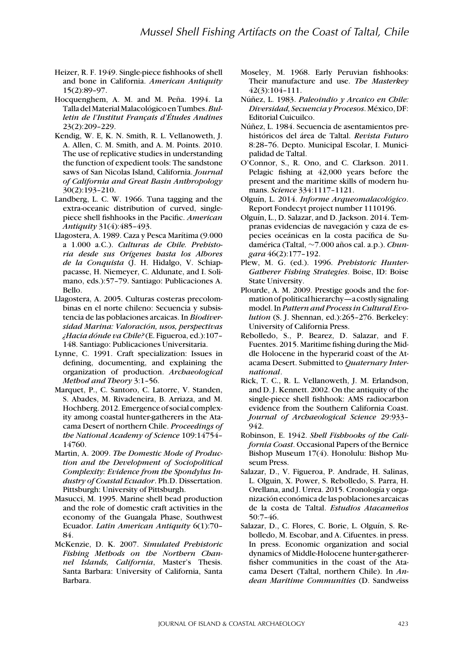- Heizer, R. F. 1949. Single-piece fishhooks of shell and bone in California. *American Antiquity* 15(2):89–97.
- Hocquenghem, A. M. and M. Peña. 1994. La Talla del Material Malacológico en Tumbes. Bul*letin de l'Institut Franc¸ais d'Etudes Andines ´* 23(2):209–229.
- Kendig, W. E, K. N. Smith, R. L. Vellanoweth, J. A. Allen, C. M. Smith, and A. M. Points. 2010. The use of replicative studies in understanding the function of expedient tools: The sandstone saws of San Nicolas Island, California. *Journal of California and Great Basin Anthropology* 30(2):193–210.
- Landberg, L. C. W. 1966. Tuna tagging and the extra-oceanic distribution of curved, singlepiece shell fishhooks in the Pacific. *American Antiquity* 31(4):485–493.
- Llagostera, A. 1989. Caza y Pesca Marítima (9.000 a 1.000 a.C.). *Culturas de Chile. Prehistoria desde sus Or´ıgenes hasta los Albores de la Conquista* (J. H. Hidalgo, V. Schiappacasse, H. Niemeyer, C. Aldunate, and I. Solimano, eds.):57–79. Santiago: Publicaciones A. Bello.
- Llagostera, A. 2005. Culturas costeras precolombinas en el norte chileno: Secuencia y subsistencia de las poblaciones arcaicas. In *Biodiversidad Marina: Valoracion, usos, perspectivas ´ ¿Hacia donde va Chile? ´* (E. Figueroa, ed.):107– 148. Santiago: Publicaciones Universitaria.
- Lynne, C. 1991. Craft specialization: Issues in defining, documenting, and explaining the organization of production. *Archaeological Method and Theory* 3:1–56.
- Marquet, P., C. Santoro, C. Latorre, V. Standen, S. Abades, M. Rivadeneira, B. Arriaza, and M. Hochberg. 2012. Emergence of social complexity among coastal hunter-gatherers in the Atacama Desert of northern Chile. *Proceedings of the National Academy of Science* 109:14754– 14760.
- Martin, A. 2009. *The Domestic Mode of Production and the Development of Sociopolitical Complexity: Evidence from the Spondylus Industry of Coastal Ecuador*. Ph.D. Dissertation. Pittsburgh: University of Pittsburgh.
- Masucci, M. 1995. Marine shell bead production and the role of domestic craft activities in the economy of the Guangala Phase, Southwest Ecuador. *Latin American Antiquity* 6(1):70– 84.
- McKenzie, D. K. 2007. *Simulated Prehistoric Fishing Methods on the Northern Channel Islands, California*, Master's Thesis. Santa Barbara: University of California, Santa Barbara.
- Moseley, M. 1968. Early Peruvian fishhooks: Their manufacture and use. *The Masterkey* 42(3):104–111.
- Núñez, L. 1983. Paleoindio y Arcaico en Chile: *Diversidad, Secuencia y Procesos. México, DF:* Editorial Cuicuilco.
- Núñez, L. 1984. Secuencia de asentamientos prehistóricos del área de Taltal. *Revista Futuro* 8:28–76. Depto. Municipal Escolar, I. Municipalidad de Taltal.
- O'Connor, S., R. Ono, and C. Clarkson. 2011. Pelagic fishing at 42,000 years before the present and the maritime skills of modern humans. *Science* 334:1117–1121.
- Olgu´ın, L. 2014. *Informe Arqueomalacologico ´* . Report Fondecyt project number 1110196.
- Olguín, L., D. Salazar, and D. Jackson. 2014. Tempranas evidencias de navegacion y caza de es- ´ pecies oceánicas en la costa pacífica de Sudamérica (Taltal, ~7.000 años cal. a.p.). *Chungara* 46(2):177–192.
- Plew, M. G. (ed.). 1996. *Prehistoric Hunter-Gatherer Fishing Strategies*. Boise, ID: Boise State University.
- Plourde, A. M. 2009. Prestige goods and the formation of political hierarchy—a costly signaling model. In*Pattern and Process in Cultural Evolution* (S. J. Shennan, ed.):265–276. Berkeley: University of California Press.
- Rebolledo, S., P. Bearez, D. Salazar, and F. Fuentes. 2015. Maritime fishing during the Middle Holocene in the hyperarid coast of the Atacama Desert. Submitted to *Quaternary International*.
- Rick, T. C., R. L. Vellanoweth, J. M. Erlandson, and D. J. Kennett. 2002. On the antiquity of the single-piece shell fishhook: AMS radiocarbon evidence from the Southern California Coast. *Journal of Archaeological Science* 29:933– 942.
- Robinson, E. 1942. *Shell Fishhooks of the California Coast*. Occasional Papers of the Bernice Bishop Museum 17(4). Honolulu: Bishop Museum Press.
- Salazar, D., V. Figueroa, P. Andrade, H. Salinas, L. Olguin, X. Power, S. Rebolledo, S. Parra, H. Orellana, and J. Urrea. 2015. Cronología y organización económica de las poblaciones arcaicas de la costa de Taltal. *Estudios Atacamenos ˜* 50:7–46.
- Salazar, D., C. Flores, C. Borie, L. Olguín, S. Rebolledo, M. Escobar, and A. Cifuentes. in press. In press. Economic organization and social dynamics of Middle-Holocene hunter-gathererfisher communities in the coast of the Atacama Desert (Taltal, northern Chile). In *Andean Maritime Communities* (D. Sandweiss